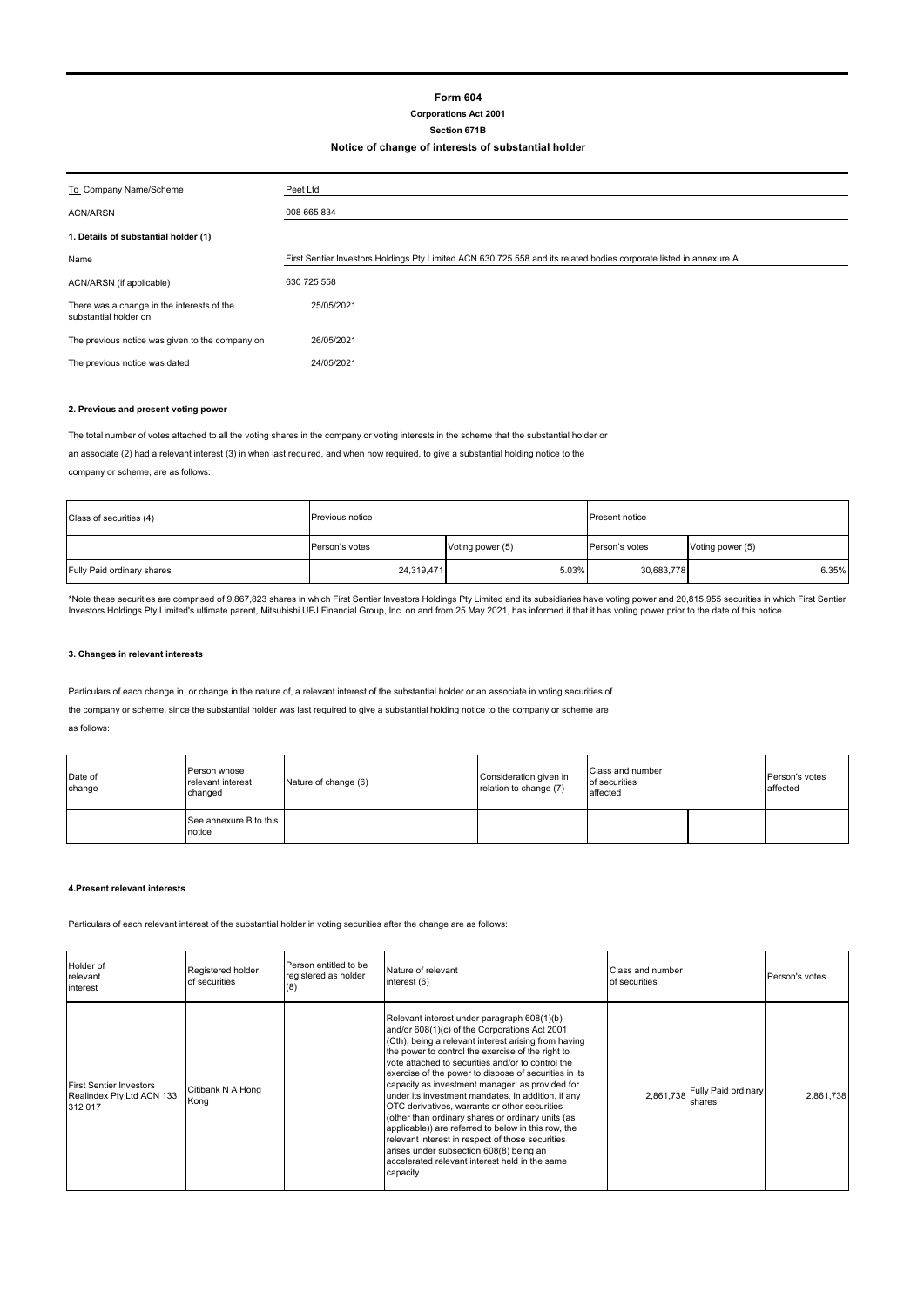# **Form 604**

# **Corporations Act 2001**

### **Section 671B Notice of change of interests of substantial holder**

| To Company Name/Scheme                                              | Peet Ltd                                                                                                           |  |  |  |
|---------------------------------------------------------------------|--------------------------------------------------------------------------------------------------------------------|--|--|--|
| <b>ACN/ARSN</b>                                                     | 008 665 834                                                                                                        |  |  |  |
| 1. Details of substantial holder (1)                                |                                                                                                                    |  |  |  |
| Name                                                                | First Sentier Investors Holdings Pty Limited ACN 630 725 558 and its related bodies corporate listed in annexure A |  |  |  |
| ACN/ARSN (if applicable)                                            | 630 725 558                                                                                                        |  |  |  |
| There was a change in the interests of the<br>substantial holder on | 25/05/2021                                                                                                         |  |  |  |
| The previous notice was given to the company on                     | 26/05/2021                                                                                                         |  |  |  |
| The previous notice was dated                                       | 24/05/2021                                                                                                         |  |  |  |

#### **2. Previous and present voting power**

The total number of votes attached to all the voting shares in the company or voting interests in the scheme that the substantial holder or

an associate (2) had a relevant interest (3) in when last required, and when now required, to give a substantial holding notice to the

company or scheme, are as follows:

| Class of securities (4)    | Previous notice |                  | Present notice |                  |  |
|----------------------------|-----------------|------------------|----------------|------------------|--|
|                            | Person's votes  | Voting power (5) | Person's votes | Voting power (5) |  |
| Fully Paid ordinary shares | 24,319,471      | 5.03%            | 30,683,778     | 6.35%            |  |

\*Note these securities are comprised of 9,867,823 shares in which First Sentier Investors Holdings Pty Limited and its subsidiaries have voting power and 20,815,955 securities in which First Sentier<br>Investors Holdings Pty

### **3. Changes in relevant interests**

Particulars of each change in, or change in the nature of, a relevant interest of the substantial holder or an associate in voting securities of

the company or scheme, since the substantial holder was last required to give a substantial holding notice to the company or scheme are

as follows:

| Date of<br>change | Person whose<br>relevant interest<br>changed | Nature of change (6) | Consideration given in<br>relation to change (7) | Class and number<br>of securities<br>affected |  | Person's votes<br>affected |
|-------------------|----------------------------------------------|----------------------|--------------------------------------------------|-----------------------------------------------|--|----------------------------|
|                   | See annexure B to this<br>notice             |                      |                                                  |                                               |  |                            |

#### **4.Present relevant interests**

Particulars of each relevant interest of the substantial holder in voting securities after the change are as follows:

| Holder of<br>relevant<br>interest                                      | Registered holder<br>of securities | Person entitled to be<br>registered as holder<br>(8) | Nature of relevant<br>interest (6)                                                                                                                                                                                                                                                                                                                                                                                                                                                                                                                                                                                                                                                                                                                          | Class and number<br>of securities          | Person's votes |
|------------------------------------------------------------------------|------------------------------------|------------------------------------------------------|-------------------------------------------------------------------------------------------------------------------------------------------------------------------------------------------------------------------------------------------------------------------------------------------------------------------------------------------------------------------------------------------------------------------------------------------------------------------------------------------------------------------------------------------------------------------------------------------------------------------------------------------------------------------------------------------------------------------------------------------------------------|--------------------------------------------|----------------|
| <b>First Sentier Investors</b><br>Realindex Pty Ltd ACN 133<br>312 017 | Citibank N A Hong<br>Kong          |                                                      | Relevant interest under paragraph 608(1)(b)<br>and/or 608(1)(c) of the Corporations Act 2001<br>(Cth), being a relevant interest arising from having<br>the power to control the exercise of the right to<br>vote attached to securities and/or to control the<br>exercise of the power to dispose of securities in its<br>capacity as investment manager, as provided for<br>under its investment mandates. In addition, if any<br>OTC derivatives, warrants or other securities<br>(other than ordinary shares or ordinary units (as<br>applicable)) are referred to below in this row, the<br>relevant interest in respect of those securities<br>arises under subsection 608(8) being an<br>accelerated relevant interest held in the same<br>capacity. | Fully Paid ordinary<br>2,861,738<br>shares | 2.861.738      |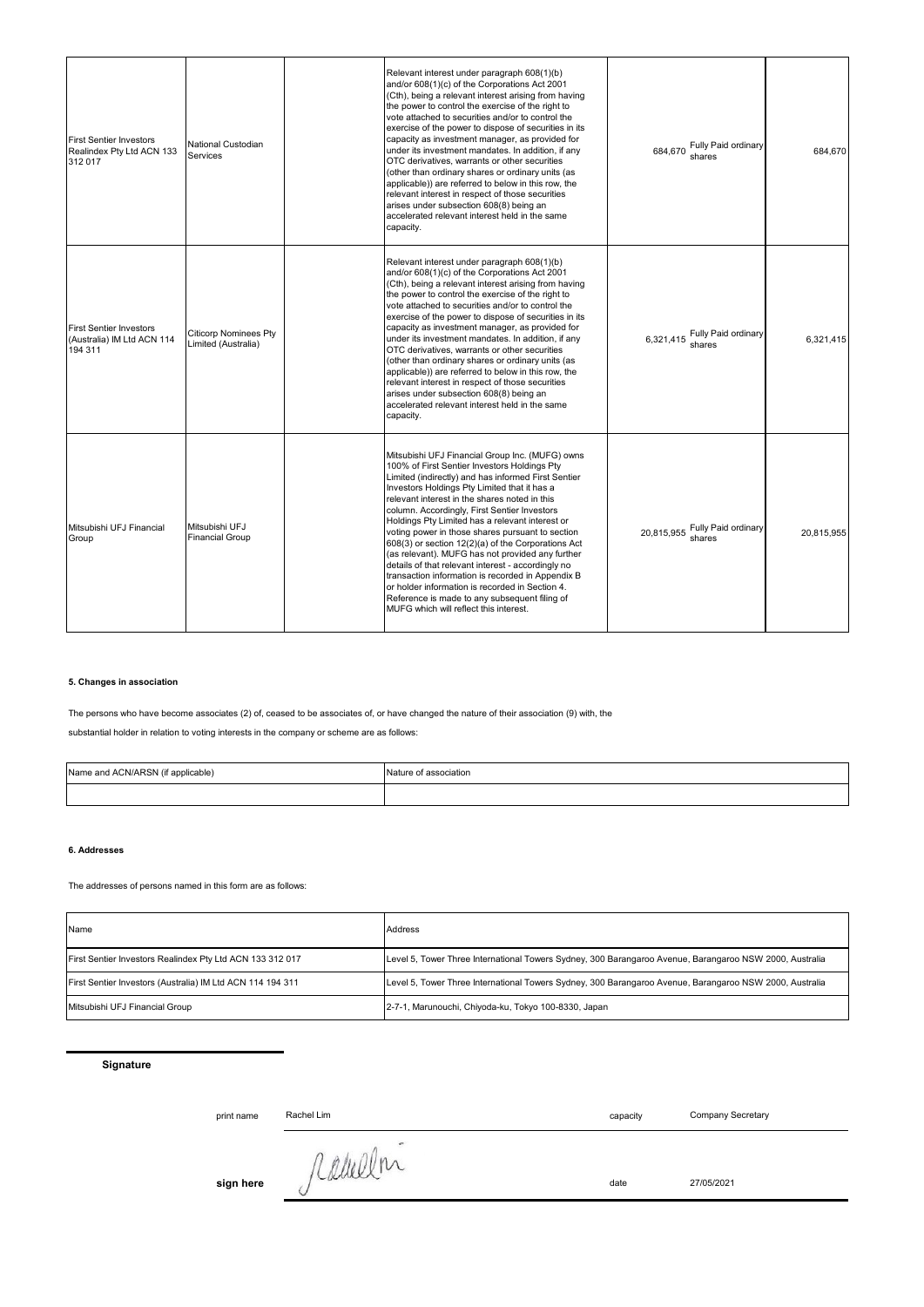| <b>First Sentier Investors</b><br>Realindex Pty Ltd ACN 133<br>312 017  | National Custodian<br>Services                      | Relevant interest under paragraph 608(1)(b)<br>and/or 608(1)(c) of the Corporations Act 2001<br>(Cth), being a relevant interest arising from having<br>the power to control the exercise of the right to<br>vote attached to securities and/or to control the<br>exercise of the power to dispose of securities in its<br>capacity as investment manager, as provided for<br>under its investment mandates. In addition, if any<br>OTC derivatives, warrants or other securities<br>(other than ordinary shares or ordinary units (as<br>applicable)) are referred to below in this row, the<br>relevant interest in respect of those securities<br>arises under subsection 608(8) being an<br>accelerated relevant interest held in the same<br>capacity.                       | Fully Paid ordinary<br>684.670<br>shares | 684.670    |
|-------------------------------------------------------------------------|-----------------------------------------------------|-----------------------------------------------------------------------------------------------------------------------------------------------------------------------------------------------------------------------------------------------------------------------------------------------------------------------------------------------------------------------------------------------------------------------------------------------------------------------------------------------------------------------------------------------------------------------------------------------------------------------------------------------------------------------------------------------------------------------------------------------------------------------------------|------------------------------------------|------------|
| <b>First Sentier Investors</b><br>(Australia) IM Ltd ACN 114<br>194 311 | <b>Citicorp Nominees Pty</b><br>Limited (Australia) | Relevant interest under paragraph 608(1)(b)<br>and/or 608(1)(c) of the Corporations Act 2001<br>(Cth), being a relevant interest arising from having<br>the power to control the exercise of the right to<br>vote attached to securities and/or to control the<br>exercise of the power to dispose of securities in its<br>capacity as investment manager, as provided for<br>under its investment mandates. In addition, if any<br>OTC derivatives, warrants or other securities<br>(other than ordinary shares or ordinary units (as<br>applicable)) are referred to below in this row, the<br>relevant interest in respect of those securities<br>arises under subsection 608(8) being an<br>accelerated relevant interest held in the same<br>capacity.                       | 6,321,415 Fully Paid ordinary            | 6.321.415  |
| Mitsubishi UFJ Financial<br>Group                                       | Mitsubishi UFJ<br><b>Financial Group</b>            | Mitsubishi UFJ Financial Group Inc. (MUFG) owns<br>100% of First Sentier Investors Holdings Pty<br>Limited (indirectly) and has informed First Sentier<br>Investors Holdings Pty Limited that it has a<br>relevant interest in the shares noted in this<br>column. Accordingly, First Sentier Investors<br>Holdings Pty Limited has a relevant interest or<br>voting power in those shares pursuant to section<br>608(3) or section 12(2)(a) of the Corporations Act<br>(as relevant). MUFG has not provided any further<br>details of that relevant interest - accordingly no<br>transaction information is recorded in Appendix B<br>or holder information is recorded in Section 4.<br>Reference is made to any subsequent filing of<br>MUFG which will reflect this interest. | 20,815,955 Fully Paid ordinary           | 20.815.955 |

# **5. Changes in association**

The persons who have become associates (2) of, ceased to be associates of, or have changed the nature of their association (9) with, the

substantial holder in relation to voting interests in the company or scheme are as follows:

| Name and ACN/ARSN (if applicable) | Nature of association |
|-----------------------------------|-----------------------|
|                                   |                       |

#### **6. Addresses**

The addresses of persons named in this form are as follows:

| Name                                                       | Address                                                                                                 |
|------------------------------------------------------------|---------------------------------------------------------------------------------------------------------|
| First Sentier Investors Realindex Pty Ltd ACN 133 312 017  | Level 5, Tower Three International Towers Sydney, 300 Barangaroo Avenue, Barangaroo NSW 2000, Australia |
| First Sentier Investors (Australia) IM Ltd ACN 114 194 311 | Level 5, Tower Three International Towers Sydney, 300 Barangaroo Avenue, Barangaroo NSW 2000, Australia |
| Mitsubishi UFJ Financial Group                             | 2-7-1, Marunouchi, Chiyoda-ku, Tokyo 100-8330, Japan                                                    |

# **Signature**

print name Rachel Lim **capacity** 

Company Secretary

sign here *fulled* the date 27/05/2021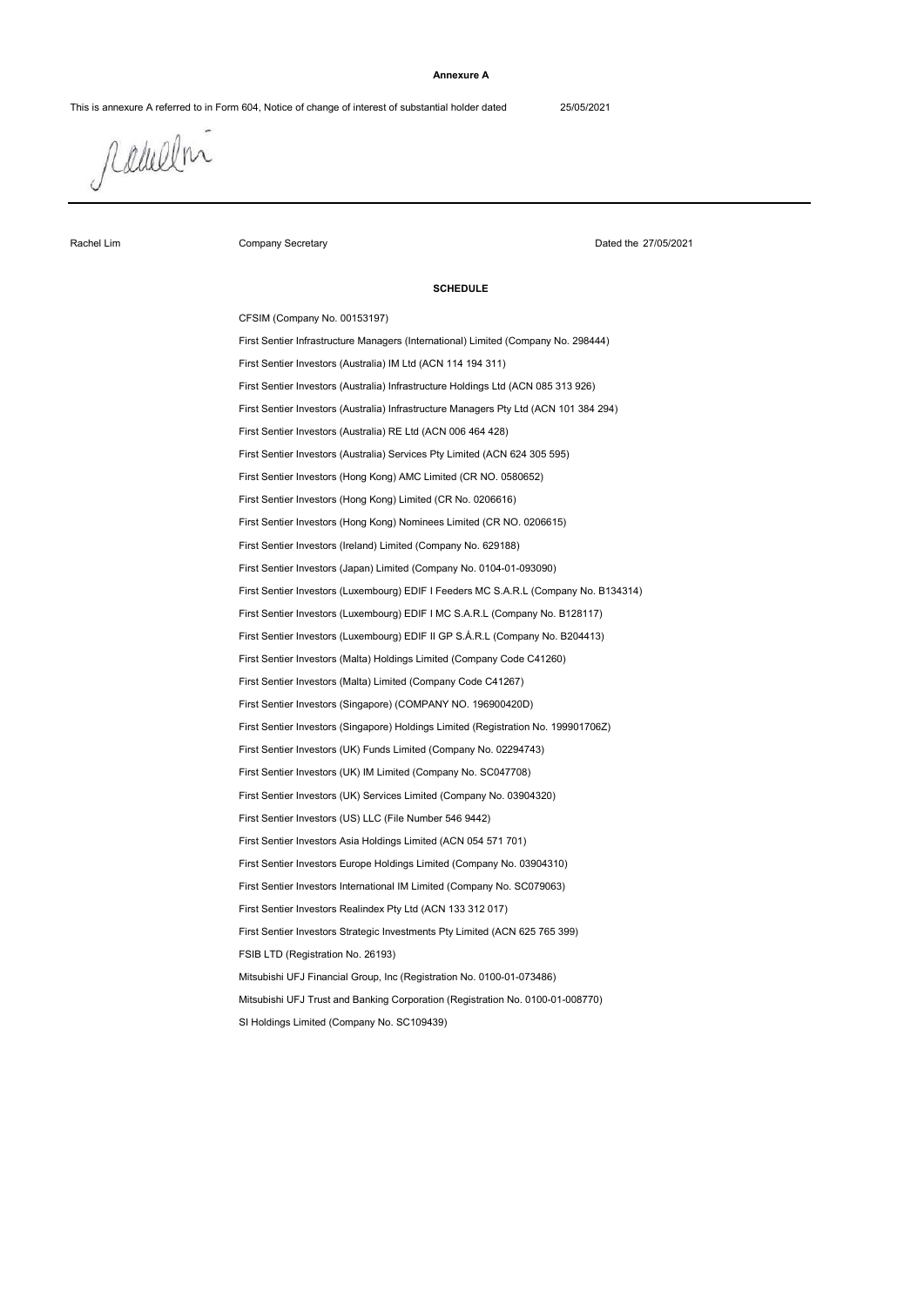### **Annexure A**

This is annexure A referred to in Form 604, Notice of change of interest of substantial holder dated 25/05/2021

rabelm

Rachel Lim

Company Secretary

Dated the 27/05/2021

### **SCHEDULE**

First Sentier Investors (Australia) Infrastructure Holdings Ltd (ACN 085 313 926) First Sentier Investors (Luxembourg) EDIF I MC S.A.R.L (Company No. B128117) Mitsubishi UFJ Financial Group, Inc (Registration No. 0100-01-073486) First Sentier Investors International IM Limited (Company No. SC079063) First Sentier Investors Strategic Investments Pty Limited (ACN 625 765 399) First Sentier Investors (Hong Kong) Limited (CR No. 0206616) First Sentier Investors (Ireland) Limited (Company No. 629188) First Sentier Investors (Luxembourg) EDIF I Feeders MC S.A.R.L (Company No. B134314) First Sentier Investors (Luxembourg) EDIF II GP S.Á.R.L (Company No. B204413) First Sentier Investors (US) LLC (File Number 546 9442) FSIB LTD (Registration No. 26193) Mitsubishi UFJ Trust and Banking Corporation (Registration No. 0100-01-008770) First Sentier Investors Europe Holdings Limited (Company No. 03904310) First Sentier Investors Realindex Pty Ltd (ACN 133 312 017) First Sentier Investors Asia Holdings Limited (ACN 054 571 701) First Sentier Investors (UK) Services Limited (Company No. 03904320) First Sentier Investors (UK) Funds Limited (Company No. 02294743) CFSIM (Company No. 00153197) First Sentier Investors (Australia) Infrastructure Managers Pty Ltd (ACN 101 384 294) First Sentier Investors (Australia) Services Pty Limited (ACN 624 305 595) First Sentier Investors (UK) IM Limited (Company No. SC047708) First Sentier Investors (Singapore) Holdings Limited (Registration No. 199901706Z) First Sentier Investors (Malta) Limited (Company Code C41267) First Sentier Infrastructure Managers (International) Limited (Company No. 298444) First Sentier Investors (Australia) RE Ltd (ACN 006 464 428) First Sentier Investors (Hong Kong) AMC Limited (CR NO. 0580652) First Sentier Investors (Singapore) (COMPANY NO. 196900420D) First Sentier Investors (Australia) IM Ltd (ACN 114 194 311) First Sentier Investors (Hong Kong) Nominees Limited (CR NO. 0206615) First Sentier Investors (Japan) Limited (Company No. 0104-01-093090) First Sentier Investors (Malta) Holdings Limited (Company Code C41260)

SI Holdings Limited (Company No. SC109439)